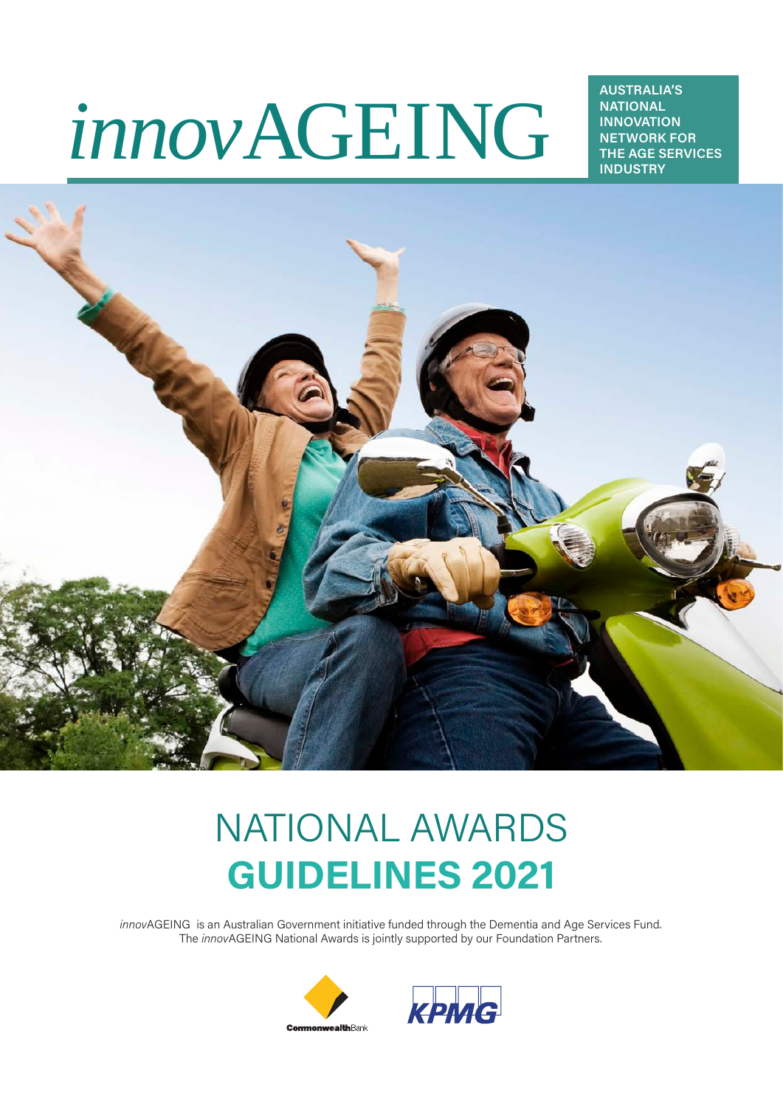# *innov*AGEING

**AUSTRALIA'S NATIONAL INNOVATION NETWORK FOR THE AGE SERVICES INDUSTRY**



# NATIONAL AWARDS **GUIDELINES 2021**

*innov*AGEING is an Australian Government initiative funded through the Dementia and Age Services Fund. The *innov*AGEING National Awards is jointly supported by our Foundation Partners.



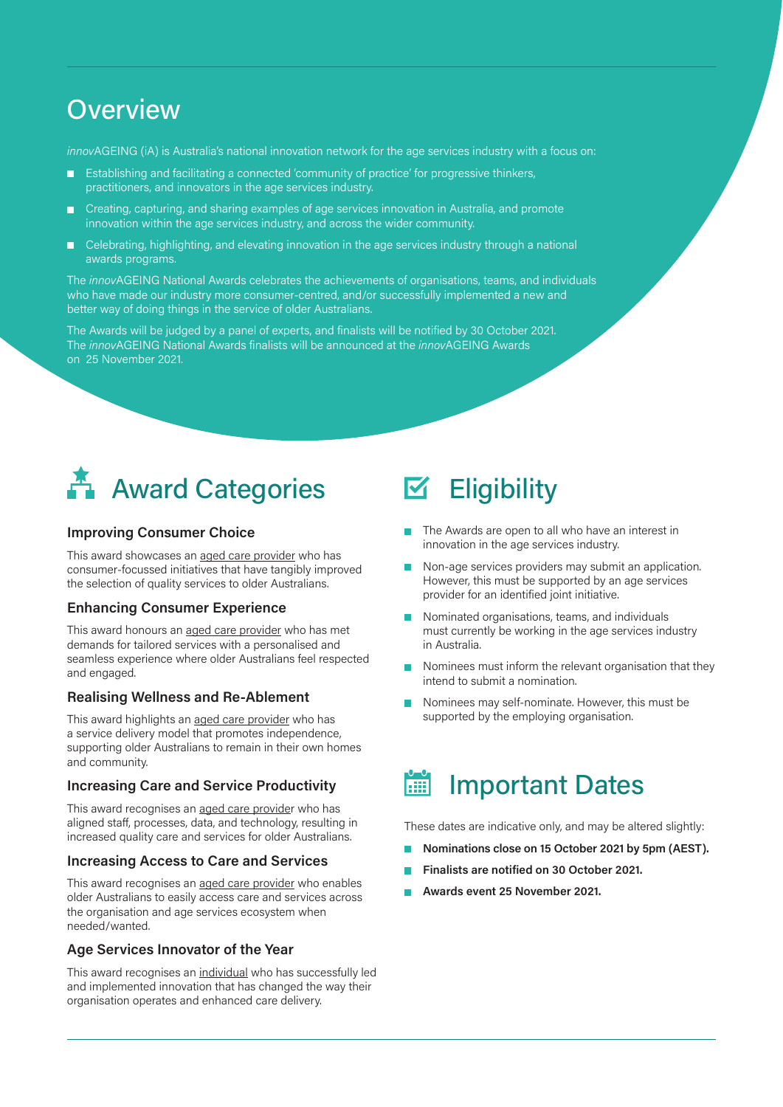### **Overview**

*innov*AGEING (iA) is Australia's national innovation network for the age services industry with a focus on:

- Establishing and facilitating a connected 'community of practice' for progressive thinkers, practitioners, and innovators in the age services industry.
- Creating, capturing, and sharing examples of age services innovation in Australia, and promote m innovation within the age services industry, and across the wider community.
- **EXEC** Celebrating, highlighting, and elevating innovation in the age services industry through a national awards programs.

The *innov*AGEING National Awards celebrates the achievements of organisations, teams, and individuals who have made our industry more consumer-centred, and/or successfully implemented a new and better way of doing things in the service of older Australians.

The Awards will be judged by a panel of experts, and finalists will be notified by 30 October 2021. The *innov*AGEING National Awards finalists will be announced at the *innov*AGEING Awards on 25 November 2021.



#### **Improving Consumer Choice**

This award showcases an aged care provider who has consumer-focussed initiatives that have tangibly improved the selection of quality services to older Australians.

#### **Enhancing Consumer Experience**

This award honours an aged care provider who has met demands for tailored services with a personalised and seamless experience where older Australians feel respected and engaged.

#### **Realising Wellness and Re-Ablement**

This award highlights an aged care provider who has a service delivery model that promotes independence, supporting older Australians to remain in their own homes and community.

#### **Increasing Care and Service Productivity**

This award recognises an aged care provider who has aligned staff, processes, data, and technology, resulting in increased quality care and services for older Australians.

#### **Increasing Access to Care and Services**

This award recognises an aged care provider who enables older Australians to easily access care and services across the organisation and age services ecosystem when needed/wanted.

#### **Age Services Innovator of the Year**

This award recognises an individual who has successfully led and implemented innovation that has changed the way their organisation operates and enhanced care delivery.

#### **Eligibility** M

- The Awards are open to all who have an interest in innovation in the age services industry.
- Non-age services providers may submit an application.  $\mathcal{L}_{\mathcal{A}}$ However, this must be supported by an age services provider for an identified joint initiative.
- Nominated organisations, teams, and individuals must currently be working in the age services industry in Australia.
- Nominees must inform the relevant organisation that they intend to submit a nomination.
- Nominees may self-nominate. However, this must be supported by the emploving organisation.

#### Important Dates **FEE**

These dates are indicative only, and may be altered slightly:

- **Nominations close on 15 October 2021 by 5pm (AEST).**
- **Finalists are notified on 30 October 2021.**
- **Awards event 25 November 2021.**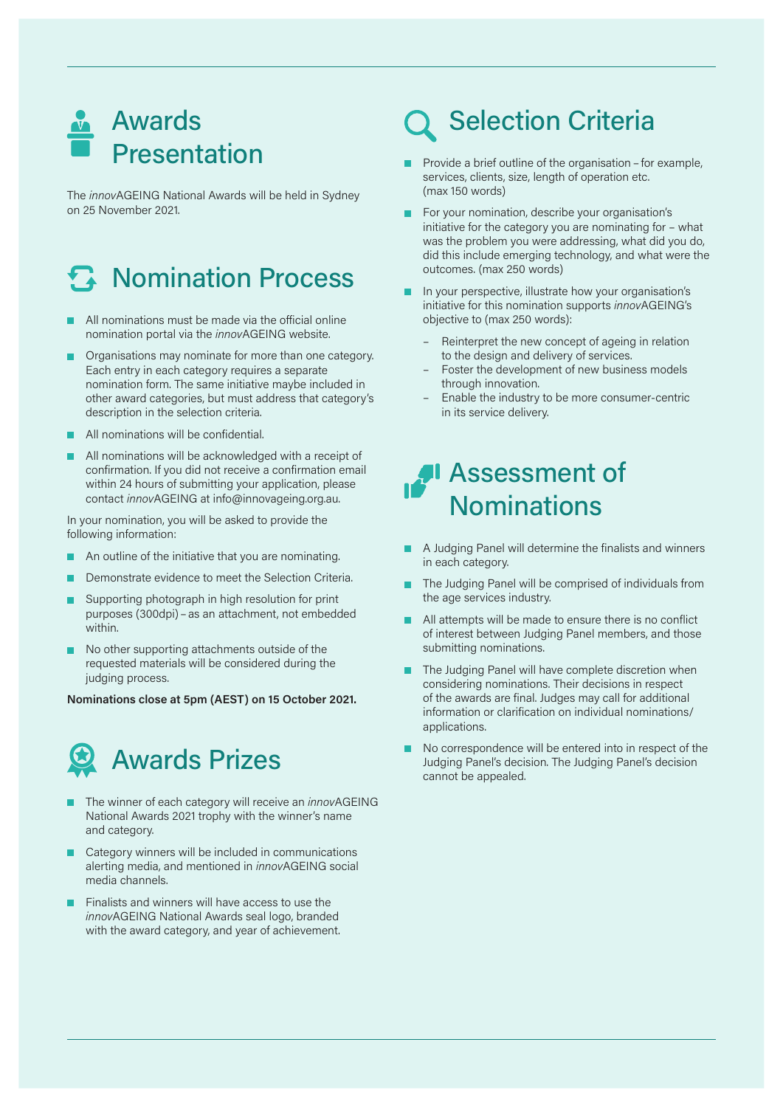

The *innov*AGEING National Awards will be held in Sydney on 25 November 2021.

# **A** Nomination Process

- All nominations must be made via the official online nomination portal via the *innov*AGEING website.
- Organisations may nominate for more than one category. Each entry in each category requires a separate nomination form. The same initiative maybe included in other award categories, but must address that category's description in the selection criteria.
- All nominations will be confidential.
- All nominations will be acknowledged with a receipt of confirmation. If you did not receive a confirmation email within 24 hours of submitting your application, please contact *innov*AGEING at info@innovageing.org.au.

In your nomination, you will be asked to provide the following information:

- An outline of the initiative that you are nominating.
- Demonstrate evidence to meet the Selection Criteria.
- Supporting photograph in high resolution for print purposes (300dpi) – as an attachment, not embedded within.
- No other supporting attachments outside of the requested materials will be considered during the judging process.

**Nominations close at 5pm (AEST) on 15 October 2021.**



- The winner of each category will receive an *innov*AGEING National Awards 2021 trophy with the winner's name and category.
- Category winners will be included in communications alerting media, and mentioned in *innov*AGEING social media channels.
- Finalists and winners will have access to use the *innov*AGEING National Awards seal logo, branded with the award category, and year of achievement.

# Selection Criteria

- Provide a brief outline of the organisation for example, services, clients, size, length of operation etc. (max 150 words)
- For your nomination, describe your organisation's initiative for the category you are nominating for – what was the problem you were addressing, what did you do, did this include emerging technology, and what were the outcomes. (max 250 words)
- In your perspective, illustrate how your organisation's initiative for this nomination supports *innov*AGEING's objective to (max 250 words):
	- Reinterpret the new concept of ageing in relation to the design and delivery of services.
	- Foster the development of new business models through innovation.
	- Enable the industry to be more consumer-centric in its service delivery.

### Assessment of **Nominations**

- A Judging Panel will determine the finalists and winners in each category.
- The Judging Panel will be comprised of individuals from the age services industry.
- All attempts will be made to ensure there is no conflict of interest between Judging Panel members, and those submitting nominations.
- The Judging Panel will have complete discretion when considering nominations. Their decisions in respect of the awards are final. Judges may call for additional information or clarification on individual nominations/ applications.
- No correspondence will be entered into in respect of the Judging Panel's decision. The Judging Panel's decision cannot be appealed.